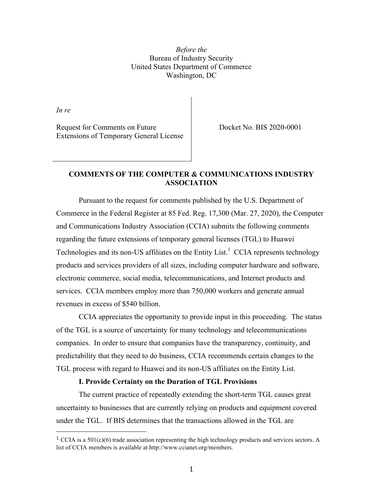*Before the* Bureau of Industry Security United States Department of Commerce Washington, DC

*In re*

Request for Comments on Future Extensions of Temporary General License Docket No. BIS 2020-0001

# **COMMENTS OF THE COMPUTER & COMMUNICATIONS INDUSTRY ASSOCIATION**

Pursuant to the request for comments published by the U.S. Department of Commerce in the Federal Register at 85 Fed. Reg. 17,300 (Mar. 27, 2020), the Computer and Communications Industry Association (CCIA) submits the following comments regarding the future extensions of temporary general licenses (TGL) to Huawei Technologies and its non-US affiliates on the Entity List.<sup>1</sup> CCIA represents technology products and services providers of all sizes, including computer hardware and software, electronic commerce, social media, telecommunications, and Internet products and services. CCIA members employ more than 750,000 workers and generate annual revenues in excess of \$540 billion.

CCIA appreciates the opportunity to provide input in this proceeding. The status of the TGL is a source of uncertainty for many technology and telecommunications companies. In order to ensure that companies have the transparency, continuity, and predictability that they need to do business, CCIA recommends certain changes to the TGL process with regard to Huawei and its non-US affiliates on the Entity List.

### **I. Provide Certainty on the Duration of TGL Provisions**

 

The current practice of repeatedly extending the short-term TGL causes great uncertainty to businesses that are currently relying on products and equipment covered under the TGL. If BIS determines that the transactions allowed in the TGL are

<sup>&</sup>lt;sup>1</sup> CCIA is a 501(c)(6) trade association representing the high technology products and services sectors. A list of CCIA members is available at http://www.ccianet.org/members.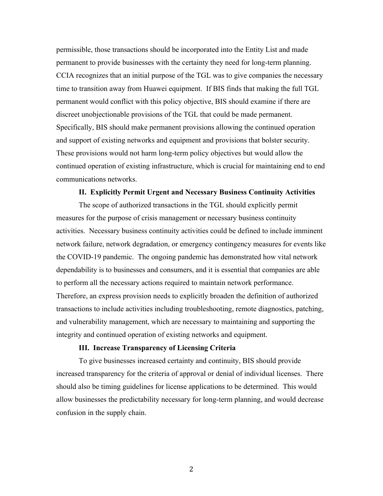permissible, those transactions should be incorporated into the Entity List and made permanent to provide businesses with the certainty they need for long-term planning. CCIA recognizes that an initial purpose of the TGL was to give companies the necessary time to transition away from Huawei equipment. If BIS finds that making the full TGL permanent would conflict with this policy objective, BIS should examine if there are discreet unobjectionable provisions of the TGL that could be made permanent. Specifically, BIS should make permanent provisions allowing the continued operation and support of existing networks and equipment and provisions that bolster security. These provisions would not harm long-term policy objectives but would allow the continued operation of existing infrastructure, which is crucial for maintaining end to end communications networks.

#### **II. Explicitly Permit Urgent and Necessary Business Continuity Activities**

The scope of authorized transactions in the TGL should explicitly permit measures for the purpose of crisis management or necessary business continuity activities. Necessary business continuity activities could be defined to include imminent network failure, network degradation, or emergency contingency measures for events like the COVID-19 pandemic. The ongoing pandemic has demonstrated how vital network dependability is to businesses and consumers, and it is essential that companies are able to perform all the necessary actions required to maintain network performance. Therefore, an express provision needs to explicitly broaden the definition of authorized transactions to include activities including troubleshooting, remote diagnostics, patching, and vulnerability management, which are necessary to maintaining and supporting the integrity and continued operation of existing networks and equipment.

## **III. Increase Transparency of Licensing Criteria**

To give businesses increased certainty and continuity, BIS should provide increased transparency for the criteria of approval or denial of individual licenses. There should also be timing guidelines for license applications to be determined. This would allow businesses the predictability necessary for long-term planning, and would decrease confusion in the supply chain.

2